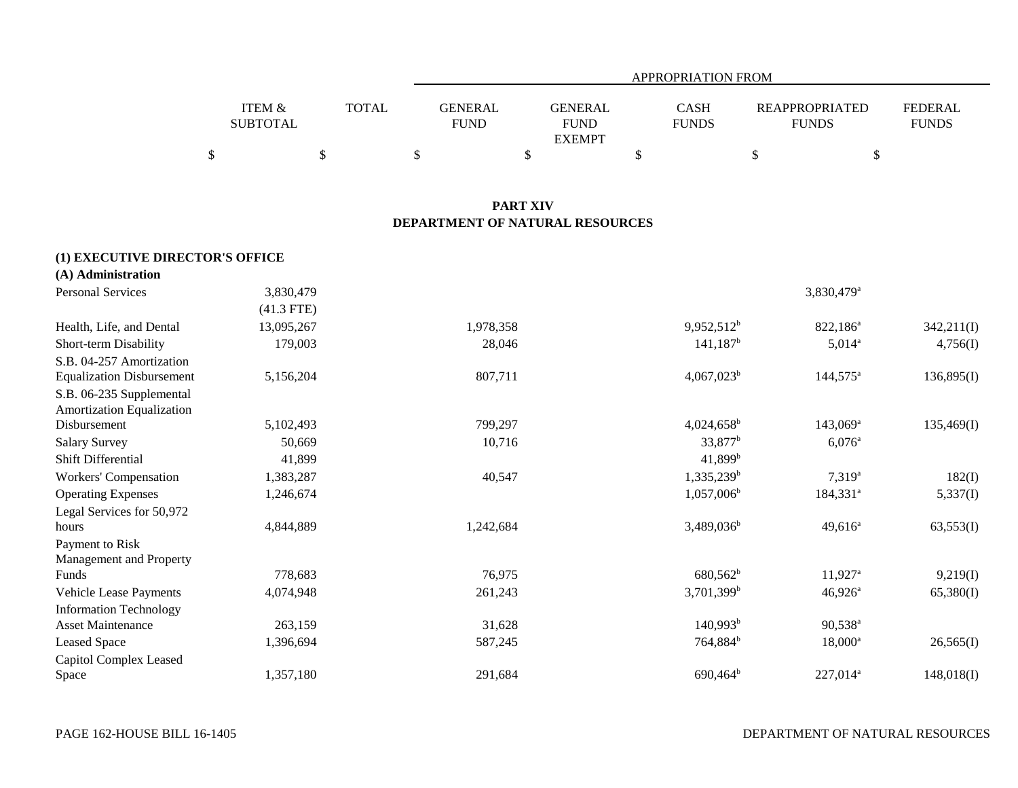|                 |              | APPROPRIATION FROM               |              |                       |                |  |  |  |  |  |
|-----------------|--------------|----------------------------------|--------------|-----------------------|----------------|--|--|--|--|--|
| ITEM &          | <b>TOTAL</b> | <b>GENERAL</b><br><b>GENERAL</b> | <b>CASH</b>  | <b>REAPPROPRIATED</b> | <b>FEDERAL</b> |  |  |  |  |  |
| <b>SUBTOTAL</b> |              | <b>FUND</b><br><b>FUND</b>       | <b>FUNDS</b> | <b>FUNDS</b>          | <b>FUNDS</b>   |  |  |  |  |  |
|                 |              | <b>EXEMPT</b>                    |              |                       |                |  |  |  |  |  |
| \$              |              |                                  |              |                       |                |  |  |  |  |  |

## **PART XIV DEPARTMENT OF NATURAL RESOURCES**

## **(1) EXECUTIVE DIRECTOR'S OFFICE**

| (A) Administration               |              |           |                          |                        |            |
|----------------------------------|--------------|-----------|--------------------------|------------------------|------------|
| <b>Personal Services</b>         | 3,830,479    |           |                          | 3,830,479 <sup>a</sup> |            |
|                                  | $(41.3$ FTE) |           |                          |                        |            |
| Health, Life, and Dental         | 13,095,267   | 1,978,358 | $9,952,512^b$            | 822,186 <sup>a</sup>   | 342,211(I) |
| Short-term Disability            | 179,003      | 28,046    | $141,187^b$              | $5,014^{\circ}$        | 4,756(I)   |
| S.B. 04-257 Amortization         |              |           |                          |                        |            |
| <b>Equalization Disbursement</b> | 5,156,204    | 807,711   | $4,067,023^b$            | $144,575^{\circ}$      | 136,895(I) |
| S.B. 06-235 Supplemental         |              |           |                          |                        |            |
| <b>Amortization Equalization</b> |              |           |                          |                        |            |
| Disbursement                     | 5,102,493    | 799,297   | $4,024,658^{\rm b}$      | $143,069^{\rm a}$      | 135,469(I) |
| <b>Salary Survey</b>             | 50,669       | 10,716    | 33,877 <sup>b</sup>      | $6,076^{\circ}$        |            |
| <b>Shift Differential</b>        | 41,899       |           | 41,899 <sup>b</sup>      |                        |            |
| Workers' Compensation            | 1,383,287    | 40,547    | 1,335,239 <sup>b</sup>   | $7,319^a$              | 182(I)     |
| <b>Operating Expenses</b>        | 1,246,674    |           | $1,057,006^b$            | $184,331^a$            | 5,337(I)   |
| Legal Services for 50,972        |              |           |                          |                        |            |
| hours                            | 4,844,889    | 1,242,684 | $3,489,036^b$            | $49,616^a$             | 63,553(I)  |
| Payment to Risk                  |              |           |                          |                        |            |
| Management and Property          |              |           |                          |                        |            |
| Funds                            | 778,683      | 76,975    | $680,562^b$              | $11,927^{\circ}$       | 9,219(I)   |
| <b>Vehicle Lease Payments</b>    | 4,074,948    | 261,243   | $3,701,399$ <sup>b</sup> | $46,926^{\circ}$       | 65,380(I)  |
| <b>Information Technology</b>    |              |           |                          |                        |            |
| <b>Asset Maintenance</b>         | 263,159      | 31,628    | 140,993 <sup>b</sup>     | $90,538^{\circ}$       |            |
| <b>Leased Space</b>              | 1,396,694    | 587,245   | 764,884 <sup>b</sup>     | $18,000^{\rm a}$       | 26,565(I)  |
| Capitol Complex Leased           |              |           |                          |                        |            |
| Space                            | 1,357,180    | 291,684   | $690,464^{\rm b}$        | 227,014 <sup>a</sup>   | 148,018(I) |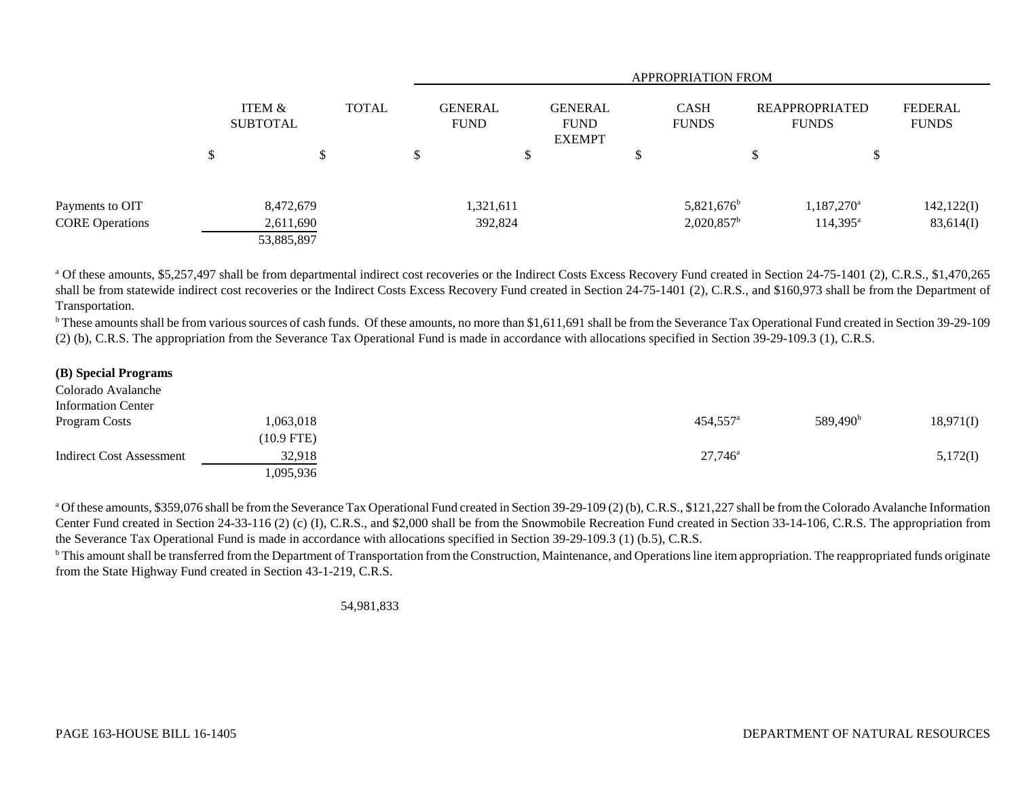|                        |                                      |  | <b>APPROPRIATION FROM</b> |                               |    |                                                |  |                             |                                       |                          |                                |
|------------------------|--------------------------------------|--|---------------------------|-------------------------------|----|------------------------------------------------|--|-----------------------------|---------------------------------------|--------------------------|--------------------------------|
|                        | <b>ITEM &amp;</b><br><b>SUBTOTAL</b> |  |                           | <b>GENERAL</b><br><b>FUND</b> |    | <b>GENERAL</b><br><b>FUND</b><br><b>EXEMPT</b> |  | <b>CASH</b><br><b>FUNDS</b> | <b>REAPPROPRIATED</b><br><b>FUNDS</b> |                          | <b>FEDERAL</b><br><b>FUNDS</b> |
|                        | \$<br>\$                             |  |                           |                               | \$ |                                                |  |                             |                                       | \$                       |                                |
| Payments to OIT        | 8,472,679                            |  |                           | 1,321,611                     |    |                                                |  | $5,821,676$ <sup>b</sup>    |                                       | $1,187,270$ <sup>a</sup> | 142,122(I)                     |
| <b>CORE Operations</b> | 2,611,690<br>53,885,897              |  |                           | 392,824                       |    |                                                |  | $2,020,857^{\rm b}$         |                                       | $114,395^{\circ}$        | 83,614(I)                      |

<sup>a</sup> Of these amounts, \$5,257,497 shall be from departmental indirect cost recoveries or the Indirect Costs Excess Recovery Fund created in Section 24-75-1401 (2), C.R.S., \$1,470,265 shall be from statewide indirect cost recoveries or the Indirect Costs Excess Recovery Fund created in Section 24-75-1401 (2), C.R.S., and \$160,973 shall be from the Department of Transportation.

<sup>b</sup> These amounts shall be from various sources of cash funds. Of these amounts, no more than \$1,611,691 shall be from the Severance Tax Operational Fund created in Section 39-29-109 (2) (b), C.R.S. The appropriation from the Severance Tax Operational Fund is made in accordance with allocations specified in Section 39-29-109.3 (1), C.R.S.

## **(B) Special Programs**

| Colorado Avalanche              |              |                        |                   |           |
|---------------------------------|--------------|------------------------|-------------------|-----------|
| <b>Information Center</b>       |              |                        |                   |           |
| Program Costs                   | 1,063,018    | $454,557$ <sup>a</sup> | $589,490^{\rm b}$ | 18,971(I) |
|                                 | $(10.9$ FTE) |                        |                   |           |
| <b>Indirect Cost Assessment</b> | 32,918       | $27,746^{\circ}$       |                   | 5,172(I)  |
|                                 | 1,095,936    |                        |                   |           |

<sup>a</sup> Of these amounts, \$359,076 shall be from the Severance Tax Operational Fund created in Section 39-29-109 (2) (b), C.R.S., \$121,227 shall be from the Colorado Avalanche Information Center Fund created in Section 24-33-116 (2) (c) (I), C.R.S., and \$2,000 shall be from the Snowmobile Recreation Fund created in Section 33-14-106, C.R.S. The appropriation from the Severance Tax Operational Fund is made in accordance with allocations specified in Section 39-29-109.3 (1) (b.5), C.R.S.

<sup>b</sup> This amount shall be transferred from the Department of Transportation from the Construction, Maintenance, and Operations line item appropriation. The reappropriated funds originate from the State Highway Fund created in Section 43-1-219, C.R.S.

54,981,833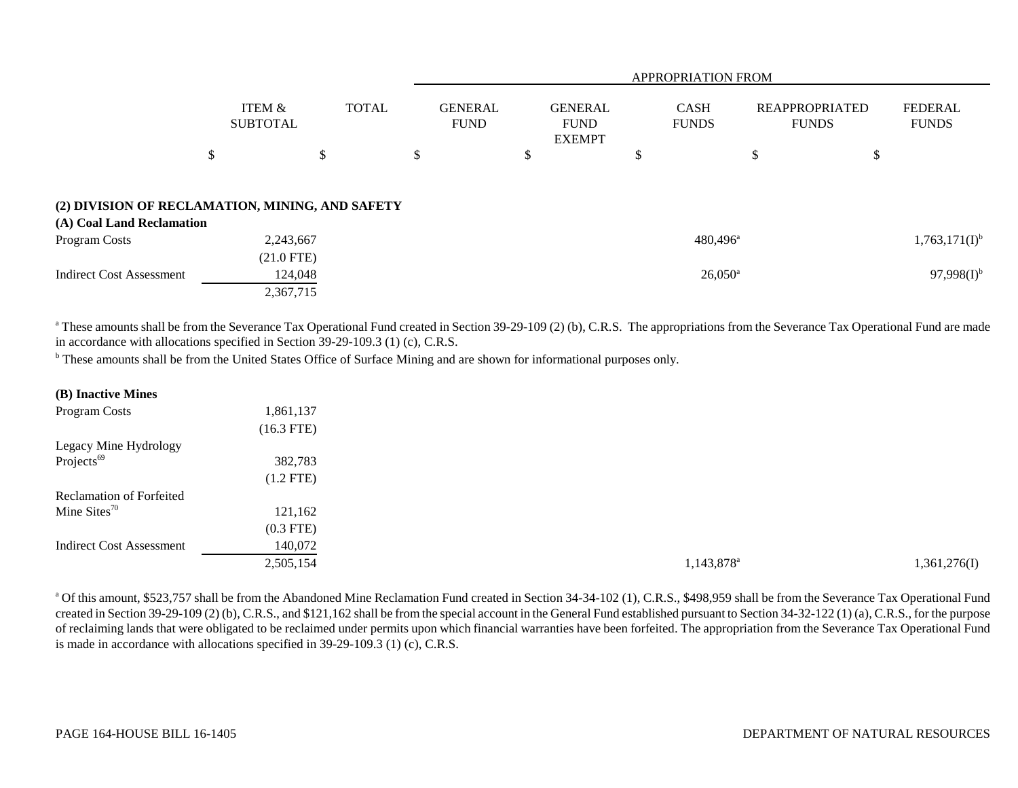|                                                                              |                                      |              | <b>APPROPRIATION FROM</b>     |                                                |                             |                                       |                                |  |  |  |
|------------------------------------------------------------------------------|--------------------------------------|--------------|-------------------------------|------------------------------------------------|-----------------------------|---------------------------------------|--------------------------------|--|--|--|
|                                                                              | ITEM &<br><b>SUBTOTAL</b>            | <b>TOTAL</b> | <b>GENERAL</b><br><b>FUND</b> | <b>GENERAL</b><br><b>FUND</b><br><b>EXEMPT</b> | <b>CASH</b><br><b>FUNDS</b> | <b>REAPPROPRIATED</b><br><b>FUNDS</b> | <b>FEDERAL</b><br><b>FUNDS</b> |  |  |  |
|                                                                              | \$                                   | \$           | \$                            | \$                                             | \$                          | \$                                    | \$                             |  |  |  |
| (2) DIVISION OF RECLAMATION, MINING, AND SAFETY<br>(A) Coal Land Reclamation |                                      |              |                               |                                                |                             |                                       |                                |  |  |  |
| Program Costs                                                                | 2,243,667                            |              |                               |                                                | $480,496^{\circ}$           |                                       | $1,763,171(I)^{b}$             |  |  |  |
| Indirect Cost Assessment                                                     | $(21.0$ FTE)<br>124,048<br>2,367,715 |              |                               |                                                | $26,050^{\circ}$            |                                       | $97,998(1)^{b}$                |  |  |  |

<sup>a</sup> These amounts shall be from the Severance Tax Operational Fund created in Section 39-29-109 (2) (b), C.R.S. The appropriations from the Severance Tax Operational Fund are made in accordance with allocations specified in Section 39-29-109.3 (1) (c), C.R.S.

<sup>b</sup> These amounts shall be from the United States Office of Surface Mining and are shown for informational purposes only.

| (B) Inactive Mines              |              |                        |              |
|---------------------------------|--------------|------------------------|--------------|
| Program Costs                   | 1,861,137    |                        |              |
|                                 | $(16.3$ FTE) |                        |              |
| Legacy Mine Hydrology           |              |                        |              |
| Projects <sup>69</sup>          | 382,783      |                        |              |
|                                 | $(1.2$ FTE)  |                        |              |
| <b>Reclamation of Forfeited</b> |              |                        |              |
| Mine Sites $70$                 | 121,162      |                        |              |
|                                 | $(0.3$ FTE)  |                        |              |
| <b>Indirect Cost Assessment</b> | 140,072      |                        |              |
|                                 | 2,505,154    | 1,143,878 <sup>a</sup> | 1,361,276(I) |
|                                 |              |                        |              |

<sup>a</sup> Of this amount, \$523,757 shall be from the Abandoned Mine Reclamation Fund created in Section 34-34-102 (1), C.R.S., \$498,959 shall be from the Severance Tax Operational Fund created in Section 39-29-109 (2) (b), C.R.S., and \$121,162 shall be from the special account in the General Fund established pursuant to Section 34-32-122 (1) (a), C.R.S., for the purpose of reclaiming lands that were obligated to be reclaimed under permits upon which financial warranties have been forfeited. The appropriation from the Severance Tax Operational Fund is made in accordance with allocations specified in 39-29-109.3 (1) (c), C.R.S.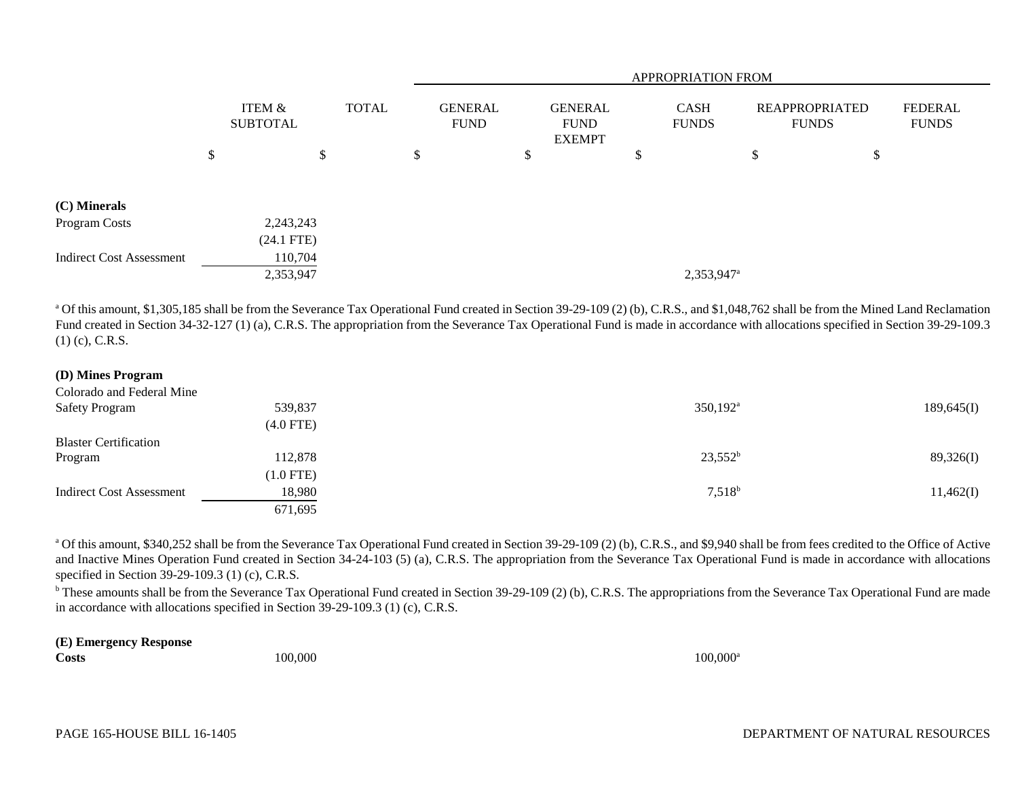|                                 |              |                           |               |              |    | <b>APPROPRIATION FROM</b>     |                                                |  |                             |                        |                                |   |                                |
|---------------------------------|--------------|---------------------------|---------------|--------------|----|-------------------------------|------------------------------------------------|--|-----------------------------|------------------------|--------------------------------|---|--------------------------------|
|                                 |              | ITEM &<br><b>SUBTOTAL</b> |               | <b>TOTAL</b> |    | <b>GENERAL</b><br><b>FUND</b> | <b>GENERAL</b><br><b>FUND</b><br><b>EXEMPT</b> |  | <b>CASH</b><br><b>FUNDS</b> |                        | REAPPROPRIATED<br><b>FUNDS</b> |   | <b>FEDERAL</b><br><b>FUNDS</b> |
|                                 | \$           |                           | <sup>\$</sup> |              | \$ |                               | D                                              |  | \$                          |                        | \$                             | D |                                |
| (C) Minerals                    |              |                           |               |              |    |                               |                                                |  |                             |                        |                                |   |                                |
| Program Costs                   |              | 2,243,243                 |               |              |    |                               |                                                |  |                             |                        |                                |   |                                |
|                                 | $(24.1$ FTE) |                           |               |              |    |                               |                                                |  |                             |                        |                                |   |                                |
| <b>Indirect Cost Assessment</b> |              | 110,704                   |               |              |    |                               |                                                |  |                             |                        |                                |   |                                |
|                                 |              | 2,353,947                 |               |              |    |                               |                                                |  |                             | 2,353,947 <sup>a</sup> |                                |   |                                |

<sup>a</sup> Of this amount, \$1,305,185 shall be from the Severance Tax Operational Fund created in Section 39-29-109 (2) (b), C.R.S., and \$1,048,762 shall be from the Mined Land Reclamation Fund created in Section 34-32-127 (1) (a), C.R.S. The appropriation from the Severance Tax Operational Fund is made in accordance with allocations specified in Section 39-29-109.3 (1) (c), C.R.S.

## **(D) Mines Program**

| Colorado and Federal Mine       |             |                      |            |
|---------------------------------|-------------|----------------------|------------|
| <b>Safety Program</b>           | 539,837     | $350,192^{\text{a}}$ | 189,645(I) |
|                                 | $(4.0$ FTE) |                      |            |
| <b>Blaster Certification</b>    |             |                      |            |
| Program                         | 112,878     | $23,552^b$           | 89,326(I)  |
|                                 | $(1.0$ FTE) |                      |            |
| <b>Indirect Cost Assessment</b> | 18,980      | $7,518^{\rm b}$      | 11,462(I)  |
|                                 | 671,695     |                      |            |

<sup>a</sup> Of this amount, \$340,252 shall be from the Severance Tax Operational Fund created in Section 39-29-109 (2) (b), C.R.S., and \$9,940 shall be from fees credited to the Office of Active and Inactive Mines Operation Fund created in Section 34-24-103 (5) (a), C.R.S. The appropriation from the Severance Tax Operational Fund is made in accordance with allocations specified in Section 39-29-109.3 (1) (c), C.R.S.

<sup>b</sup> These amounts shall be from the Severance Tax Operational Fund created in Section 39-29-109 (2) (b), C.R.S. The appropriations from the Severance Tax Operational Fund are made in accordance with allocations specified in Section 39-29-109.3 (1) (c), C.R.S.

# **(E) Emergency Response**

**Costs**

**s** and the state of  $100,000$  and  $100,000$  and  $100,000$  and  $100,000$  and  $100,000$  and  $100,000$  and  $100,000$  and  $100,000$  and  $100,000$  and  $100,000$  and  $100,000$  and  $100,000$  and  $100,000$  and  $100,000$  and  $100$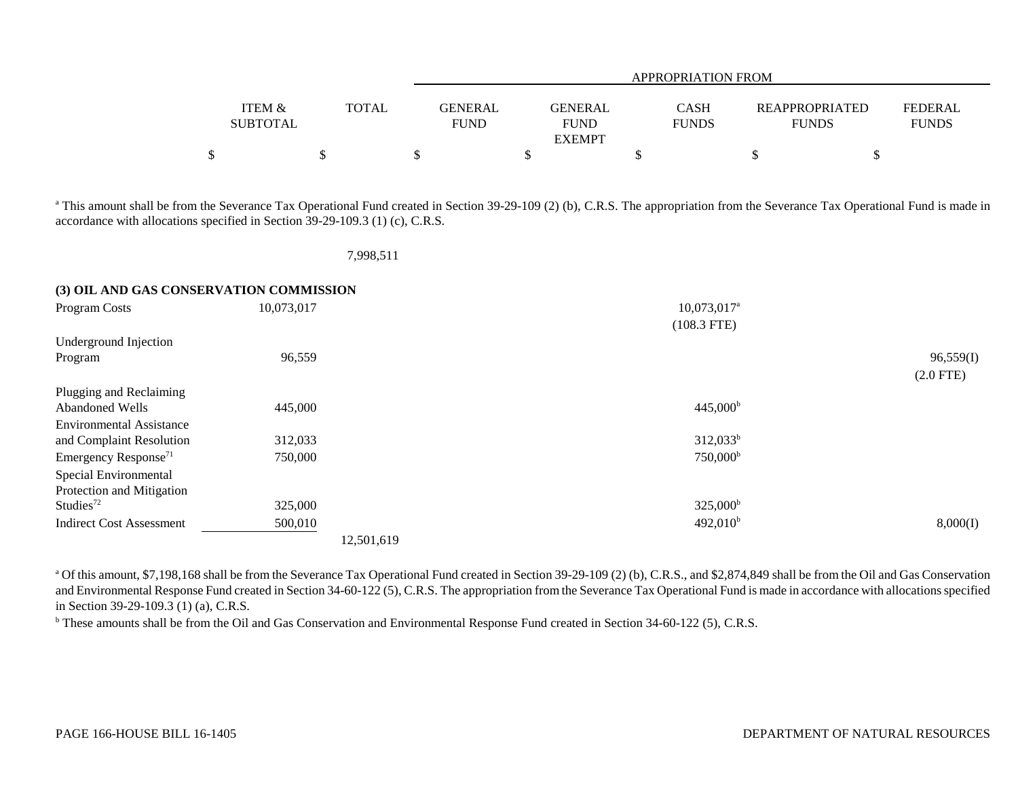|                   |              |             | APPROPRIATION FROM |              |                       |                |  |  |  |  |  |
|-------------------|--------------|-------------|--------------------|--------------|-----------------------|----------------|--|--|--|--|--|
|                   |              |             |                    |              |                       |                |  |  |  |  |  |
| <b>ITEM &amp;</b> | <b>TOTAL</b> | GENERAL     | <b>GENERAL</b>     | <b>CASH</b>  | <b>REAPPROPRIATED</b> | <b>FEDERAL</b> |  |  |  |  |  |
| <b>SUBTOTAL</b>   |              | <b>FUND</b> | <b>FUND</b>        | <b>FUNDS</b> | <b>FUNDS</b>          | <b>FUNDS</b>   |  |  |  |  |  |
|                   |              |             | <b>EXEMPT</b>      |              |                       |                |  |  |  |  |  |
|                   |              |             |                    |              |                       |                |  |  |  |  |  |

<sup>a</sup> This amount shall be from the Severance Tax Operational Fund created in Section 39-29-109 (2) (b), C.R.S. The appropriation from the Severance Tax Operational Fund is made in accordance with allocations specified in Section 39-29-109.3 (1) (c), C.R.S.

|  | 998.5 |  |  |
|--|-------|--|--|
|  |       |  |  |

## **(3) OIL AND GAS CONSERVATION COMMISSION**

| Program Costs                    | 10,073,017 | 10,073,017 <sup>a</sup> |             |
|----------------------------------|------------|-------------------------|-------------|
|                                  |            | $(108.3$ FTE)           |             |
| Underground Injection            |            |                         |             |
| Program                          | 96,559     |                         | 96,559(I)   |
|                                  |            |                         | $(2.0$ FTE) |
| Plugging and Reclaiming          |            |                         |             |
| Abandoned Wells                  | 445,000    | $445,000^{\rm b}$       |             |
| <b>Environmental Assistance</b>  |            |                         |             |
| and Complaint Resolution         | 312,033    | $312,033^b$             |             |
| Emergency Response <sup>71</sup> | 750,000    | 750,000 <sup>b</sup>    |             |
| Special Environmental            |            |                         |             |
| Protection and Mitigation        |            |                         |             |
| Studies $72$                     | 325,000    | $325,000^{\rm b}$       |             |
| <b>Indirect Cost Assessment</b>  | 500,010    | 492,010 <sup>b</sup>    | 8,000(I)    |
|                                  |            | 12,501,619              |             |

<sup>a</sup> Of this amount, \$7,198,168 shall be from the Severance Tax Operational Fund created in Section 39-29-109 (2) (b), C.R.S., and \$2,874,849 shall be from the Oil and Gas Conservation and Environmental Response Fund created in Section 34-60-122 (5), C.R.S. The appropriation from the Severance Tax Operational Fund is made in accordance with allocations specified in Section 39-29-109.3 (1) (a), C.R.S.

<sup>b</sup> These amounts shall be from the Oil and Gas Conservation and Environmental Response Fund created in Section 34-60-122 (5), C.R.S.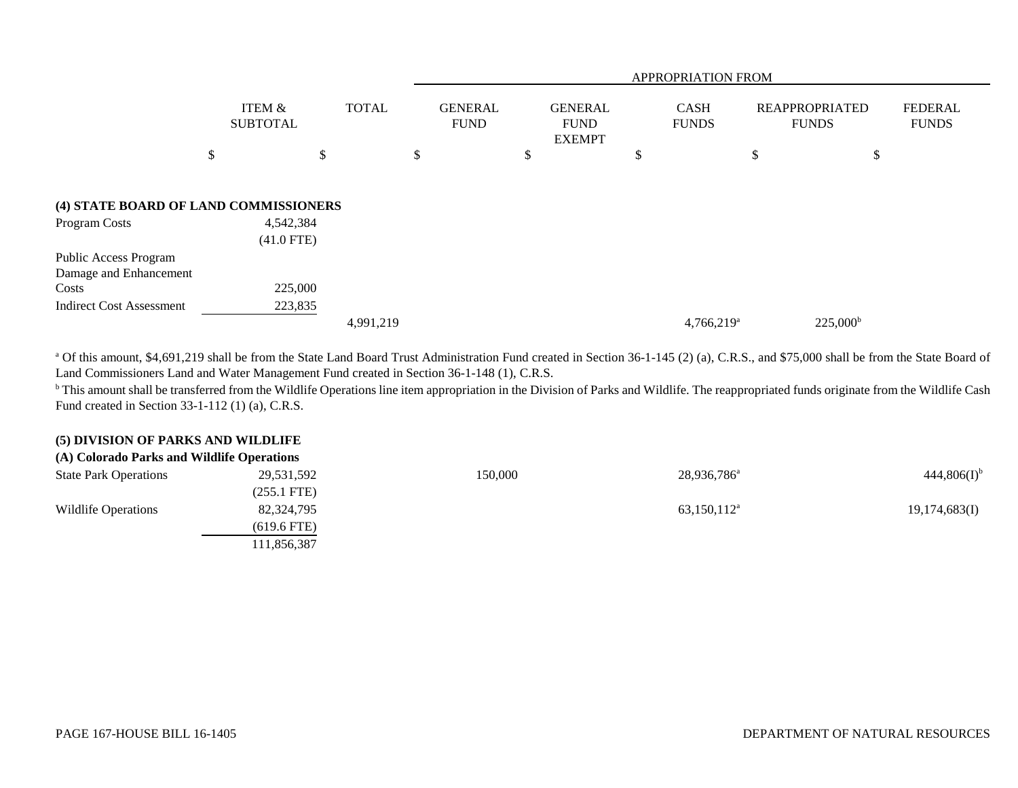|                                                        |                           |              |                               | APPROPRIATION FROM                             |                             |                                |                                |  |  |  |  |
|--------------------------------------------------------|---------------------------|--------------|-------------------------------|------------------------------------------------|-----------------------------|--------------------------------|--------------------------------|--|--|--|--|
|                                                        | ITEM &<br><b>SUBTOTAL</b> | <b>TOTAL</b> | <b>GENERAL</b><br><b>FUND</b> | <b>GENERAL</b><br><b>FUND</b><br><b>EXEMPT</b> | <b>CASH</b><br><b>FUNDS</b> | REAPPROPRIATED<br><b>FUNDS</b> | <b>FEDERAL</b><br><b>FUNDS</b> |  |  |  |  |
|                                                        | \$                        | \$           | \$                            | \$                                             | \$                          | \$                             | \$                             |  |  |  |  |
| (4) STATE BOARD OF LAND COMMISSIONERS<br>Program Costs | 4,542,384<br>$(41.0$ FTE) |              |                               |                                                |                             |                                |                                |  |  |  |  |
| Public Access Program<br>Damage and Enhancement        |                           |              |                               |                                                |                             |                                |                                |  |  |  |  |
| Costs                                                  | 225,000                   |              |                               |                                                |                             |                                |                                |  |  |  |  |
| <b>Indirect Cost Assessment</b>                        | 223,835                   |              |                               |                                                |                             |                                |                                |  |  |  |  |
|                                                        |                           | 4,991,219    |                               |                                                | $4,766,219$ <sup>a</sup>    | $225,000^{\rm b}$              |                                |  |  |  |  |

<sup>a</sup> Of this amount, \$4,691,219 shall be from the State Land Board Trust Administration Fund created in Section 36-1-145 (2) (a), C.R.S., and \$75,000 shall be from the State Board of Land Commissioners Land and Water Management Fund created in Section 36-1-148 (1), C.R.S.

<sup>b</sup> This amount shall be transferred from the Wildlife Operations line item appropriation in the Division of Parks and Wildlife. The reappropriated funds originate from the Wildlife Cash Fund created in Section 33-1-112 (1) (a), C.R.S.

#### **(5) DIVISION OF PARKS AND WILDLIFE (A) Colorado Parks and Wildlife Operations**

| (A) Colorado Parks and Wildlife Operations |               |         |                         |                  |
|--------------------------------------------|---------------|---------|-------------------------|------------------|
| <b>State Park Operations</b>               | 29,531,592    | 150,000 | 28,936,786 <sup>a</sup> | $444,806(I)^{b}$ |
|                                            | $(255.1$ FTE) |         |                         |                  |
| Wildlife Operations                        | 82,324,795    |         | $63,150,112^{\text{a}}$ | 19,174,683(I)    |
|                                            | $(619.6$ FTE) |         |                         |                  |
|                                            | 111,856,387   |         |                         |                  |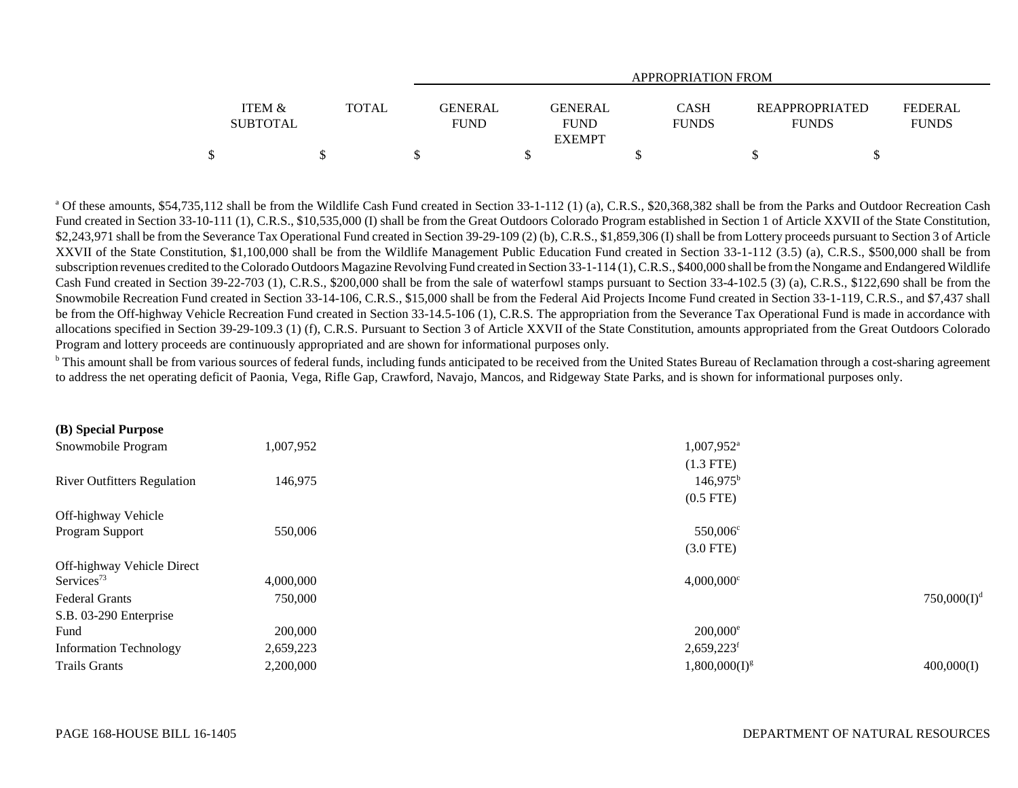|                                      |              | APPROPRIATION FROM            |                                         |                      |                                       |                         |  |  |  |  |  |  |  |
|--------------------------------------|--------------|-------------------------------|-----------------------------------------|----------------------|---------------------------------------|-------------------------|--|--|--|--|--|--|--|
| <b>ITEM &amp;</b><br><b>SUBTOTAL</b> | <b>TOTAL</b> | <b>GENERAL</b><br><b>FUND</b> | GENERAL<br><b>FUND</b><br><b>EXEMPT</b> | CASH<br><b>FUNDS</b> | <b>REAPPROPRIATED</b><br><b>FUNDS</b> | FEDERAL<br><b>FUNDS</b> |  |  |  |  |  |  |  |
|                                      |              |                               |                                         |                      |                                       |                         |  |  |  |  |  |  |  |

<sup>a</sup> Of these amounts, \$54,735,112 shall be from the Wildlife Cash Fund created in Section 33-1-112 (1) (a), C.R.S., \$20,368,382 shall be from the Parks and Outdoor Recreation Cash Fund created in Section 33-10-111 (1), C.R.S., \$10,535,000 (I) shall be from the Great Outdoors Colorado Program established in Section 1 of Article XXVII of the State Constitution, \$2,243,971 shall be from the Severance Tax Operational Fund created in Section 39-29-109 (2) (b), C.R.S., \$1,859,306 (I) shall be from Lottery proceeds pursuant to Section 3 of Article XXVII of the State Constitution, \$1,100,000 shall be from the Wildlife Management Public Education Fund created in Section 33-1-112 (3.5) (a), C.R.S., \$500,000 shall be from subscription revenues credited to the Colorado Outdoors Magazine Revolving Fund created in Section 33-1-114 (1), C.R.S., \$400,000 shall be from the Nongame and Endangered Wildlife Cash Fund created in Section 39-22-703 (1), C.R.S., \$200,000 shall be from the sale of waterfowl stamps pursuant to Section 33-4-102.5 (3) (a), C.R.S., \$122,690 shall be from the Snowmobile Recreation Fund created in Section 33-14-106, C.R.S., \$15,000 shall be from the Federal Aid Projects Income Fund created in Section 33-1-119, C.R.S., and \$7,437 shall be from the Off-highway Vehicle Recreation Fund created in Section 33-14.5-106 (1), C.R.S. The appropriation from the Severance Tax Operational Fund is made in accordance with allocations specified in Section 39-29-109.3 (1) (f), C.R.S. Pursuant to Section 3 of Article XXVII of the State Constitution, amounts appropriated from the Great Outdoors Colorado Program and lottery proceeds are continuously appropriated and are shown for informational purposes only.

<sup>b</sup> This amount shall be from various sources of federal funds, including funds anticipated to be received from the United States Bureau of Reclamation through a cost-sharing agreement to address the net operating deficit of Paonia, Vega, Rifle Gap, Crawford, Navajo, Mancos, and Ridgeway State Parks, and is shown for informational purposes only.

| $(D)$ opecial 1 ul pose            |           |                          |                         |
|------------------------------------|-----------|--------------------------|-------------------------|
| Snowmobile Program                 | 1,007,952 | 1,007,952 <sup>a</sup>   |                         |
|                                    |           | $(1.3$ FTE)              |                         |
| <b>River Outfitters Regulation</b> | 146,975   | $146,975^{\rm b}$        |                         |
|                                    |           | $(0.5$ FTE)              |                         |
| Off-highway Vehicle                |           |                          |                         |
| Program Support                    | 550,006   | 550,006 <sup>c</sup>     |                         |
|                                    |           | $(3.0$ FTE)              |                         |
| Off-highway Vehicle Direct         |           |                          |                         |
| Services <sup>73</sup>             | 4,000,000 | $4,000,000$ <sup>c</sup> |                         |
| <b>Federal Grants</b>              | 750,000   |                          | 750,000(I) <sup>d</sup> |
| S.B. 03-290 Enterprise             |           |                          |                         |
| Fund                               | 200,000   | $200,000$ <sup>e</sup>   |                         |
| <b>Information Technology</b>      | 2,659,223 | $2,659,223$ <sup>f</sup> |                         |
| <b>Trails Grants</b>               | 2,200,000 | $1,800,000(I)^g$         | 400,000(I)              |
|                                    |           |                          |                         |

**(B) Special Purpose**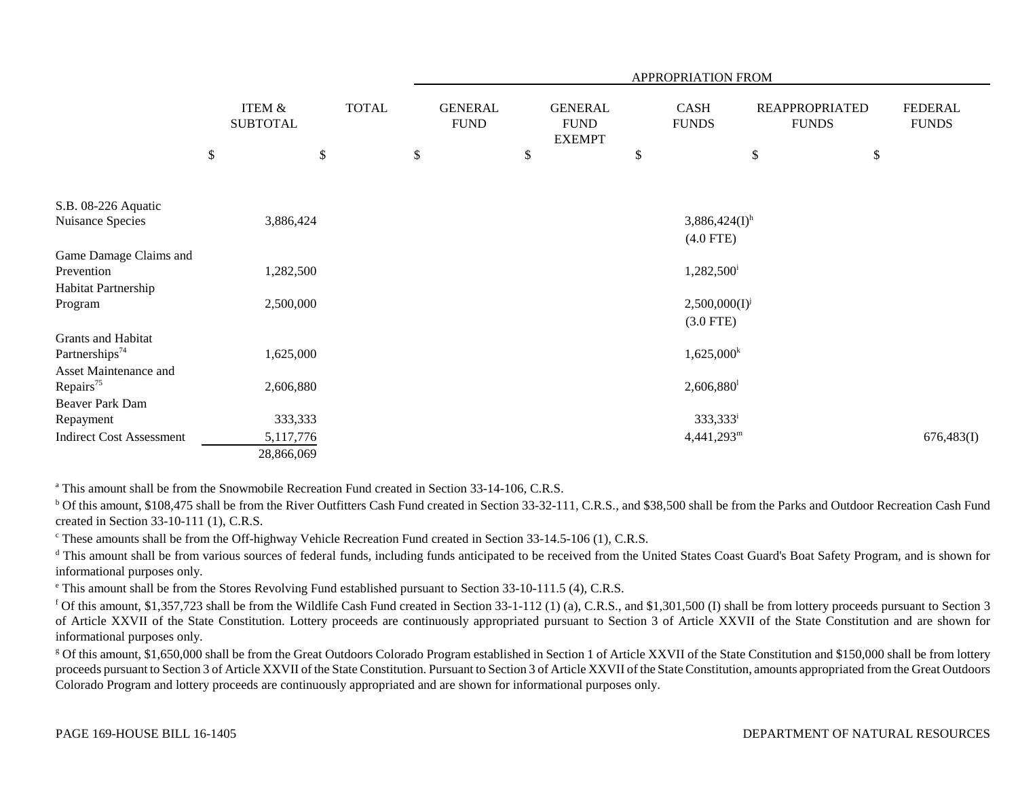|                                                                   |      |                                      |              | APPROPRIATION FROM            |    |                                                |    |                                            |      |                                       |    |                                |
|-------------------------------------------------------------------|------|--------------------------------------|--------------|-------------------------------|----|------------------------------------------------|----|--------------------------------------------|------|---------------------------------------|----|--------------------------------|
|                                                                   |      | <b>ITEM &amp;</b><br><b>SUBTOTAL</b> | <b>TOTAL</b> | <b>GENERAL</b><br><b>FUND</b> |    | <b>GENERAL</b><br><b>FUND</b><br><b>EXEMPT</b> |    | CASH<br><b>FUNDS</b>                       |      | <b>REAPPROPRIATED</b><br><b>FUNDS</b> |    | <b>FEDERAL</b><br><b>FUNDS</b> |
|                                                                   | $\$$ |                                      | \$           | \$                            | \$ |                                                | \$ |                                            | $\$$ |                                       | \$ |                                |
| S.B. 08-226 Aquatic<br>Nuisance Species                           |      | 3,886,424                            |              |                               |    |                                                |    | $3,886,424(I)$ <sup>h</sup><br>$(4.0$ FTE) |      |                                       |    |                                |
| Game Damage Claims and<br>Prevention                              |      | 1,282,500                            |              |                               |    |                                                |    | $1,282,500$ <sup>i</sup>                   |      |                                       |    |                                |
| Habitat Partnership<br>Program                                    |      | 2,500,000                            |              |                               |    |                                                |    | $2,500,000(I)^{j}$<br>$(3.0$ FTE)          |      |                                       |    |                                |
| Grants and Habitat<br>Partnerships <sup>74</sup>                  |      | 1,625,000                            |              |                               |    |                                                |    | $1,625,000^k$                              |      |                                       |    |                                |
| Asset Maintenance and<br>Repairs <sup>75</sup><br>Beaver Park Dam |      | 2,606,880                            |              |                               |    |                                                |    | $2,606,880$ <sup>1</sup>                   |      |                                       |    |                                |
| Repayment                                                         |      | 333,333                              |              |                               |    |                                                |    | 333,333 <sup>i</sup>                       |      |                                       |    |                                |
| <b>Indirect Cost Assessment</b>                                   |      | 5,117,776                            |              |                               |    |                                                |    | $4,441,293^m$                              |      |                                       |    | 676,483(I)                     |
|                                                                   |      | 28,866,069                           |              |                               |    |                                                |    |                                            |      |                                       |    |                                |

<sup>a</sup> This amount shall be from the Snowmobile Recreation Fund created in Section 33-14-106, C.R.S.

<sup>b</sup> Of this amount, \$108,475 shall be from the River Outfitters Cash Fund created in Section 33-32-111, C.R.S., and \$38,500 shall be from the Parks and Outdoor Recreation Cash Fund created in Section 33-10-111 (1), C.R.S.

<sup>c</sup> These amounts shall be from the Off-highway Vehicle Recreation Fund created in Section 33-14.5-106 (1), C.R.S.

<sup>d</sup> This amount shall be from various sources of federal funds, including funds anticipated to be received from the United States Coast Guard's Boat Safety Program, and is shown for informational purposes only.

e This amount shall be from the Stores Revolving Fund established pursuant to Section 33-10-111.5 (4), C.R.S.

<sup>f</sup> Of this amount, \$1,357,723 shall be from the Wildlife Cash Fund created in Section 33-1-112 (1) (a), C.R.S., and \$1,301,500 (I) shall be from lottery proceeds pursuant to Section 3 of Article XXVII of the State Constitution. Lottery proceeds are continuously appropriated pursuant to Section 3 of Article XXVII of the State Constitution and are shown for informational purposes only.

<sup>g</sup> Of this amount, \$1,650,000 shall be from the Great Outdoors Colorado Program established in Section 1 of Article XXVII of the State Constitution and \$150,000 shall be from lottery proceeds pursuant to Section 3 of Article XXVII of the State Constitution. Pursuant to Section 3 of Article XXVII of the State Constitution, amounts appropriated from the Great Outdoors Colorado Program and lottery proceeds are continuously appropriated and are shown for informational purposes only.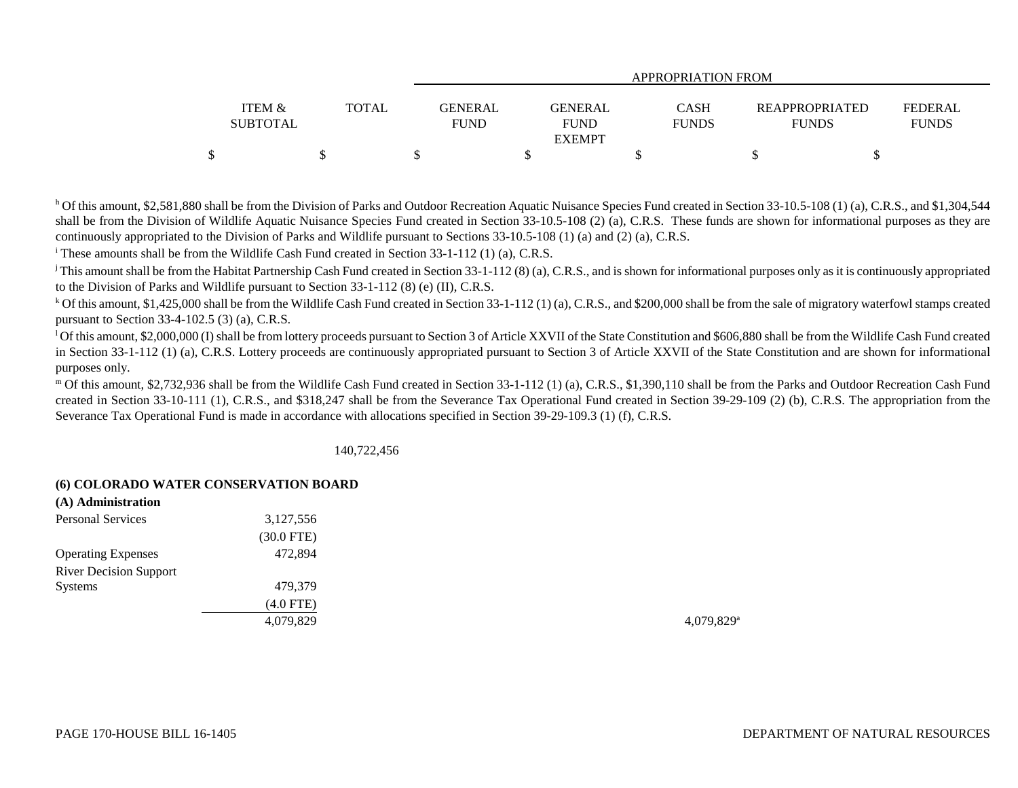|                 |              | APPROPRIATION FROM               |              |                       |                |  |  |  |  |  |  |  |  |
|-----------------|--------------|----------------------------------|--------------|-----------------------|----------------|--|--|--|--|--|--|--|--|
|                 |              |                                  |              |                       |                |  |  |  |  |  |  |  |  |
| ITEM &          | <b>TOTAL</b> | <b>GENERAL</b><br><b>GENERAL</b> | <b>CASH</b>  | <b>REAPPROPRIATED</b> | <b>FEDERAL</b> |  |  |  |  |  |  |  |  |
| <b>SUBTOTAL</b> |              | <b>FUND</b><br><b>FUND</b>       | <b>FUNDS</b> | <b>FUNDS</b>          | <b>FUNDS</b>   |  |  |  |  |  |  |  |  |
|                 |              | <b>EXEMPT</b>                    |              |                       |                |  |  |  |  |  |  |  |  |
|                 |              |                                  |              |                       |                |  |  |  |  |  |  |  |  |

<sup>h</sup> Of this amount, \$2,581,880 shall be from the Division of Parks and Outdoor Recreation Aquatic Nuisance Species Fund created in Section 33-10.5-108 (1) (a), C.R.S., and \$1,304,544 shall be from the Division of Wildlife Aquatic Nuisance Species Fund created in Section 33-10.5-108 (2) (a), C.R.S. These funds are shown for informational purposes as they are continuously appropriated to the Division of Parks and Wildlife pursuant to Sections 33-10.5-108 (1) (a) and (2) (a), C.R.S.

i These amounts shall be from the Wildlife Cash Fund created in Section 33-1-112 (1) (a), C.R.S.

<sup>j</sup> This amount shall be from the Habitat Partnership Cash Fund created in Section 33-1-112 (8) (a), C.R.S., and is shown for informational purposes only as it is continuously appropriated to the Division of Parks and Wildlife pursuant to Section 33-1-112 (8) (e) (II), C.R.S.

<sup>k</sup> Of this amount. \$1,425,000 shall be from the Wildlife Cash Fund created in Section 33-1-112 (1) (a), C.R.S., and \$200,000 shall be from the sale of migratory waterfowl stamps created pursuant to Section 33-4-102.5 (3) (a), C.R.S.

<sup>1</sup>Of this amount, \$2,000,000 (I) shall be from lottery proceeds pursuant to Section 3 of Article XXVII of the State Constitution and \$606,880 shall be from the Wildlife Cash Fund created in Section 33-1-112 (1) (a), C.R.S. Lottery proceeds are continuously appropriated pursuant to Section 3 of Article XXVII of the State Constitution and are shown for informational purposes only.

m Of this amount, \$2,732,936 shall be from the Wildlife Cash Fund created in Section 33-1-112 (1) (a), C.R.S., \$1,390,110 shall be from the Parks and Outdoor Recreation Cash Fund created in Section 33-10-111 (1), C.R.S., and \$318,247 shall be from the Severance Tax Operational Fund created in Section 39-29-109 (2) (b), C.R.S. The appropriation from the Severance Tax Operational Fund is made in accordance with allocations specified in Section 39-29-109.3 (1) (f), C.R.S.

140,722,456

## **(6) COLORADO WATER CONSERVATION BOARD**

| (A) Administration            |                 |                          |
|-------------------------------|-----------------|--------------------------|
| <b>Personal Services</b>      | 3,127,556       |                          |
|                               | $(30.0$ FTE $)$ |                          |
| <b>Operating Expenses</b>     | 472,894         |                          |
| <b>River Decision Support</b> |                 |                          |
| <b>Systems</b>                | 479,379         |                          |
|                               | $(4.0$ FTE)     |                          |
|                               | 4,079,829       | $4,079,829$ <sup>a</sup> |
|                               |                 |                          |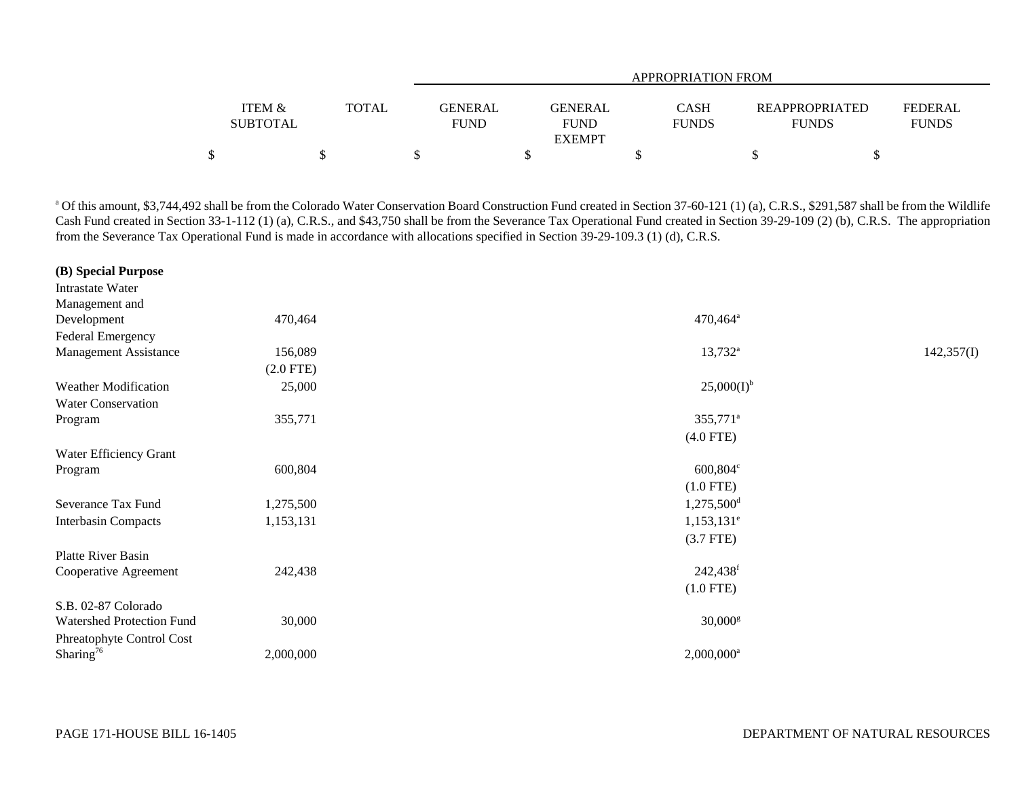|                                      |              | APPROPRIATION FROM     |                                                |  |                                                                  |  |  |  |  |  |  |  |  |
|--------------------------------------|--------------|------------------------|------------------------------------------------|--|------------------------------------------------------------------|--|--|--|--|--|--|--|--|
| <b>ITEM &amp;</b><br><b>SUBTOTAL</b> | <b>TOTAL</b> | GENERAL<br><b>FUND</b> | CASH<br>GENERAL<br><b>FUND</b><br><b>FUNDS</b> |  | FEDERAL<br><b>REAPPROPRIATED</b><br><b>FUNDS</b><br><b>FUNDS</b> |  |  |  |  |  |  |  |  |
|                                      |              |                        | <b>EXEMPT</b>                                  |  |                                                                  |  |  |  |  |  |  |  |  |
|                                      |              |                        |                                                |  |                                                                  |  |  |  |  |  |  |  |  |

<sup>a</sup> Of this amount, \$3,744,492 shall be from the Colorado Water Conservation Board Construction Fund created in Section 37-60-121 (1) (a), C.R.S., \$291,587 shall be from the Wildlife Cash Fund created in Section 33-1-112 (1) (a), C.R.S., and \$43,750 shall be from the Severance Tax Operational Fund created in Section 39-29-109 (2) (b), C.R.S. The appropriation from the Severance Tax Operational Fund is made in accordance with allocations specified in Section 39-29-109.3 (1) (d), C.R.S.

| (B) Special Purpose          |             |                          |            |
|------------------------------|-------------|--------------------------|------------|
| Intrastate Water             |             |                          |            |
| Management and               |             |                          |            |
| Development                  | 470,464     | $470,464^{\circ}$        |            |
| Federal Emergency            |             |                          |            |
| <b>Management Assistance</b> | 156,089     | $13,732^{\rm a}$         | 142,357(I) |
|                              | $(2.0$ FTE) |                          |            |
| <b>Weather Modification</b>  | 25,000      | $25,000(I)^{b}$          |            |
| <b>Water Conservation</b>    |             |                          |            |
| Program                      | 355,771     | 355,771 <sup>a</sup>     |            |
|                              |             | $(4.0$ FTE)              |            |
| Water Efficiency Grant       |             |                          |            |
| Program                      | 600,804     | $600,804^{\circ}$        |            |
|                              |             | $(1.0$ FTE)              |            |
| Severance Tax Fund           | 1,275,500   | 1,275,500 <sup>d</sup>   |            |
| <b>Interbasin Compacts</b>   | 1,153,131   | $1,153,131$ <sup>e</sup> |            |
|                              |             | $(3.7$ FTE)              |            |
| Platte River Basin           |             |                          |            |
| Cooperative Agreement        | 242,438     | 242,438 <sup>f</sup>     |            |
|                              |             | $(1.0$ FTE)              |            |
| S.B. 02-87 Colorado          |             |                          |            |
| Watershed Protection Fund    | 30,000      | $30,000$ <sup>g</sup>    |            |
| Phreatophyte Control Cost    |             |                          |            |
| Sharing <sup>76</sup>        | 2,000,000   | $2,000,000$ <sup>a</sup> |            |
|                              |             |                          |            |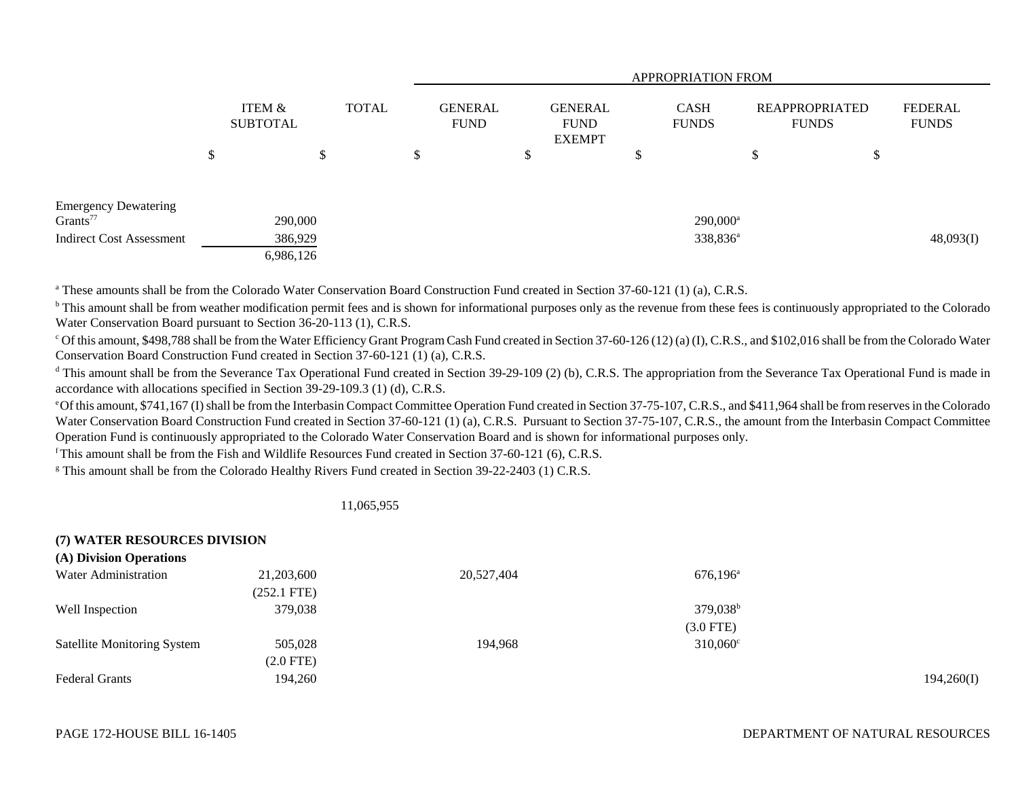|                                                     |                           |                      |              | <b>APPROPRIATION FROM</b> |                               |    |                                                |   |                             |                                       |    |                                |
|-----------------------------------------------------|---------------------------|----------------------|--------------|---------------------------|-------------------------------|----|------------------------------------------------|---|-----------------------------|---------------------------------------|----|--------------------------------|
|                                                     | ITEM &<br><b>SUBTOTAL</b> |                      | <b>TOTAL</b> |                           | <b>GENERAL</b><br><b>FUND</b> |    | <b>GENERAL</b><br><b>FUND</b><br><b>EXEMPT</b> |   | <b>CASH</b><br><b>FUNDS</b> | <b>REAPPROPRIATED</b><br><b>FUNDS</b> |    | <b>FEDERAL</b><br><b>FUNDS</b> |
|                                                     | \$                        |                      | \$           |                           |                               | \$ |                                                | D |                             | \$                                    | \$ |                                |
|                                                     |                           |                      |              |                           |                               |    |                                                |   |                             |                                       |    |                                |
| <b>Emergency Dewatering</b><br>Grants <sup>77</sup> |                           | 290,000              |              |                           |                               |    |                                                |   | 290,000 <sup>a</sup>        |                                       |    |                                |
| <b>Indirect Cost Assessment</b>                     |                           | 386,929<br>6,986,126 |              |                           |                               |    |                                                |   | 338,836 <sup>a</sup>        |                                       |    | 48,093(I)                      |

<sup>a</sup> These amounts shall be from the Colorado Water Conservation Board Construction Fund created in Section 37-60-121 (1) (a), C.R.S.

<sup>b</sup> This amount shall be from weather modification permit fees and is shown for informational purposes only as the revenue from these fees is continuously appropriated to the Colorado Water Conservation Board pursuant to Section 36-20-113 (1), C.R.S.

 $\degree$  Of this amount, \$498,788 shall be from the Water Efficiency Grant Program Cash Fund created in Section 37-60-126 (12) (a) (I), C.R.S., and \$102,016 shall be from the Colorado Water Conservation Board Construction Fund created in Section 37-60-121 (1) (a), C.R.S.

<sup>d</sup> This amount shall be from the Severance Tax Operational Fund created in Section 39-29-109 (2) (b), C.R.S. The appropriation from the Severance Tax Operational Fund is made in accordance with allocations specified in Section 39-29-109.3 (1) (d), C.R.S.

e Of this amount, \$741,167 (I) shall be from the Interbasin Compact Committee Operation Fund created in Section 37-75-107, C.R.S., and \$411,964 shall be from reserves in the Colorado Water Conservation Board Construction Fund created in Section 37-60-121 (1) (a), C.R.S. Pursuant to Section 37-75-107, C.R.S., the amount from the Interbasin Compact Committee Operation Fund is continuously appropriated to the Colorado Water Conservation Board and is shown for informational purposes only.

f This amount shall be from the Fish and Wildlife Resources Fund created in Section 37-60-121 (6), C.R.S.

<sup>g</sup> This amount shall be from the Colorado Healthy Rivers Fund created in Section 39-22-2403 (1) C.R.S.

## 11,065,955

## **(7) WATER RESOURCES DIVISION (A) Division Operations** Water Administration 21,203,600 20,527,404 676,196<sup>a</sup> 676,196<sup>a</sup> (252.1 FTE) Well Inspection  $379,038$   $379,038$ (3.0 FTE) Satellite Monitoring System 505,028 194,968 310,060<sup>c</sup> (2.0 FTE) Federal Grants 194,260 194,260 194,260 194,260 194,260 194,260 194,260 194,260 194,260 194,260 194,260 194,260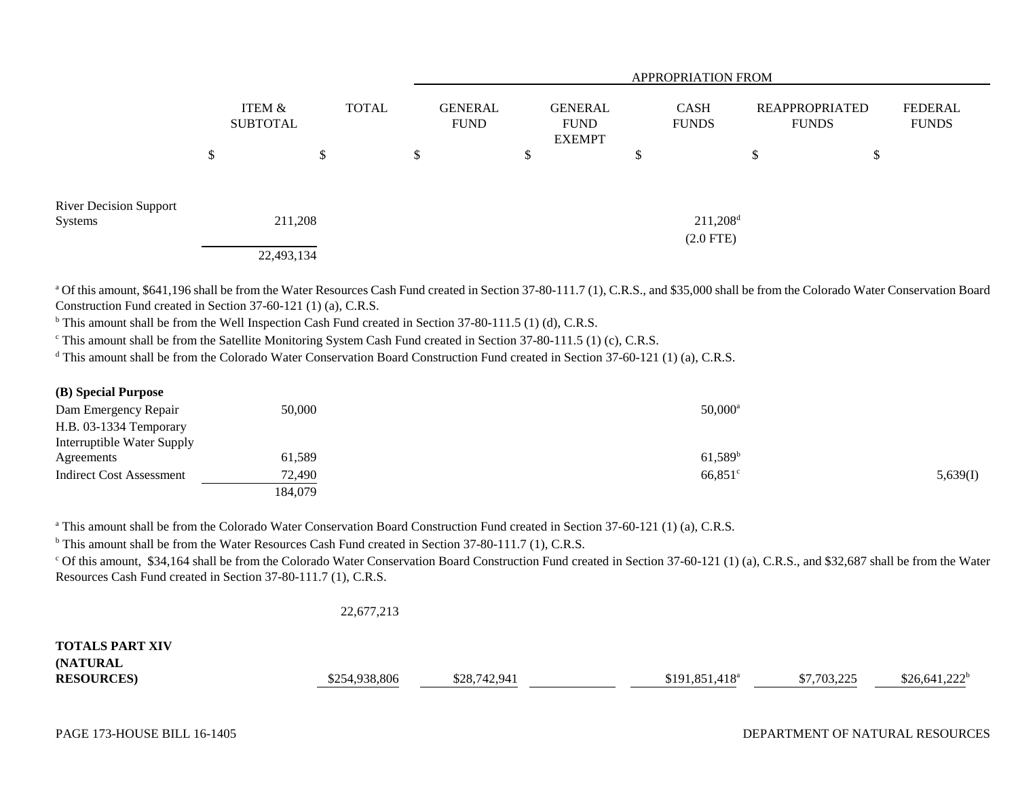|                                                     |                           | <b>APPROPRIATION FROM</b> |              |    |                               |    |                                                |                        |                             |                                |    |                         |  |
|-----------------------------------------------------|---------------------------|---------------------------|--------------|----|-------------------------------|----|------------------------------------------------|------------------------|-----------------------------|--------------------------------|----|-------------------------|--|
|                                                     | ITEM &<br><b>SUBTOTAL</b> |                           | <b>TOTAL</b> |    | <b>GENERAL</b><br><b>FUND</b> |    | <b>GENERAL</b><br><b>FUND</b><br><b>EXEMPT</b> |                        | <b>CASH</b><br><b>FUNDS</b> | REAPPROPRIATED<br><b>FUNDS</b> |    | FEDERAL<br><b>FUNDS</b> |  |
|                                                     | ⊄<br>◡                    | Φ<br>J                    |              | ۰D |                               | \$ |                                                | <sup>\$</sup>          |                             | \$                             | \$ |                         |  |
| <b>River Decision Support</b><br>211,208<br>Systems |                           |                           |              |    |                               |    |                                                | $211,208$ <sup>d</sup> |                             |                                |    |                         |  |
|                                                     |                           | 22,493,134                |              |    |                               |    |                                                |                        | $(2.0$ FTE $)$              |                                |    |                         |  |

<sup>a</sup> Of this amount, \$641,196 shall be from the Water Resources Cash Fund created in Section 37-80-111.7 (1), C.R.S., and \$35,000 shall be from the Colorado Water Conservation Board Construction Fund created in Section 37-60-121 (1) (a), C.R.S.

<sup>b</sup> This amount shall be from the Well Inspection Cash Fund created in Section 37-80-111.5 (1) (d), C.R.S.

<sup>c</sup> This amount shall be from the Satellite Monitoring System Cash Fund created in Section 37-80-111.5 (1) (c), C.R.S.

<sup>d</sup> This amount shall be from the Colorado Water Conservation Board Construction Fund created in Section 37-60-121 (1) (a), C.R.S.

### **(B) Special Purpose**

| Dam Emergency Repair       | 50,000  | $50,000^{\rm a}$ |          |
|----------------------------|---------|------------------|----------|
| H.B. 03-1334 Temporary     |         |                  |          |
| Interruptible Water Supply |         |                  |          |
| Agreements                 | 61,589  | $61,589^b$       |          |
| Indirect Cost Assessment   | 72,490  | $66,851$ °       | 5,639(I) |
|                            | 184,079 |                  |          |

<sup>a</sup> This amount shall be from the Colorado Water Conservation Board Construction Fund created in Section 37-60-121 (1) (a), C.R.S.

<sup>b</sup> This amount shall be from the Water Resources Cash Fund created in Section 37-80-111.7 (1), C.R.S.

<sup>c</sup> Of this amount, \$34,164 shall be from the Colorado Water Conservation Board Construction Fund created in Section 37-60-121 (1) (a), C.R.S., and \$32,687 shall be from the Water Resources Cash Fund created in Section 37-80-111.7 (1), C.R.S.

```
22,677,213
```

| <b>TOTALS PART XIV</b> |               |              |                  |             |                 |
|------------------------|---------------|--------------|------------------|-------------|-----------------|
| <b>(NATURAL)</b>       |               |              |                  |             |                 |
| <b>RESOURCES</b>       | \$254,938,806 | \$28,742,941 | $$191,851,418^a$ | \$7,703,225 | $$26,641,222^b$ |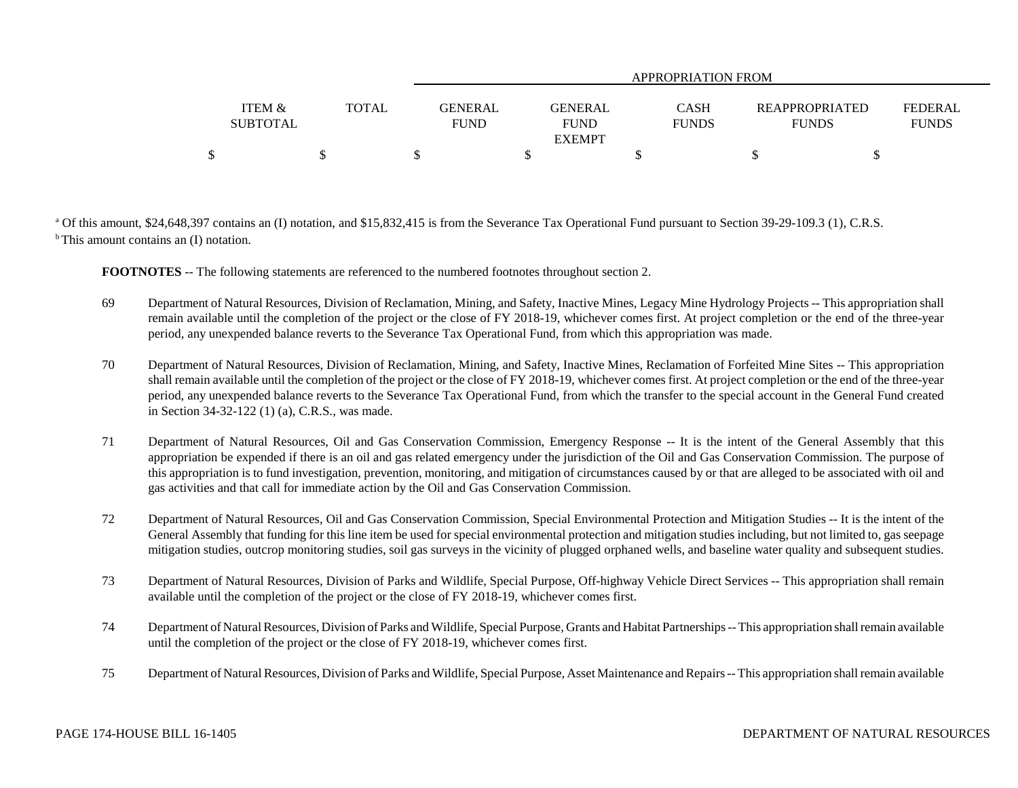|                   |              |                | APPROPRIATION FROM- |              |                       |                |  |  |  |
|-------------------|--------------|----------------|---------------------|--------------|-----------------------|----------------|--|--|--|
|                   |              |                |                     |              |                       |                |  |  |  |
| <b>ITEM &amp;</b> | <b>TOTAL</b> | <b>GENERAL</b> | <b>GENERAL</b>      | <b>CASH</b>  | <b>REAPPROPRIATED</b> | <b>FEDERAL</b> |  |  |  |
| <b>SUBTOTAL</b>   |              | <b>FUND</b>    | <b>FUND</b>         | <b>FUNDS</b> | <b>FUNDS</b>          | <b>FUNDS</b>   |  |  |  |
|                   |              |                | <b>EXEMPT</b>       |              |                       |                |  |  |  |
|                   |              |                |                     |              |                       |                |  |  |  |

<sup>a</sup> Of this amount, \$24,648,397 contains an (I) notation, and \$15,832,415 is from the Severance Tax Operational Fund pursuant to Section 39-29-109.3 (1), C.R.S.  $b$  This amount contains an (I) notation.

**FOOTNOTES** -- The following statements are referenced to the numbered footnotes throughout section 2.

- 69 Department of Natural Resources, Division of Reclamation, Mining, and Safety, Inactive Mines, Legacy Mine Hydrology Projects -- This appropriation shall remain available until the completion of the project or the close of FY 2018-19, whichever comes first. At project completion or the end of the three-year period, any unexpended balance reverts to the Severance Tax Operational Fund, from which this appropriation was made.
- 70 Department of Natural Resources, Division of Reclamation, Mining, and Safety, Inactive Mines, Reclamation of Forfeited Mine Sites -- This appropriation shall remain available until the completion of the project or the close of FY 2018-19, whichever comes first. At project completion or the end of the three-year period, any unexpended balance reverts to the Severance Tax Operational Fund, from which the transfer to the special account in the General Fund created in Section 34-32-122 (1) (a), C.R.S., was made.
- 71 Department of Natural Resources, Oil and Gas Conservation Commission, Emergency Response -- It is the intent of the General Assembly that this appropriation be expended if there is an oil and gas related emergency under the jurisdiction of the Oil and Gas Conservation Commission. The purpose of this appropriation is to fund investigation, prevention, monitoring, and mitigation of circumstances caused by or that are alleged to be associated with oil and gas activities and that call for immediate action by the Oil and Gas Conservation Commission.
- 72 Department of Natural Resources, Oil and Gas Conservation Commission, Special Environmental Protection and Mitigation Studies -- It is the intent of the General Assembly that funding for this line item be used for special environmental protection and mitigation studies including, but not limited to, gas seepage mitigation studies, outcrop monitoring studies, soil gas surveys in the vicinity of plugged orphaned wells, and baseline water quality and subsequent studies.
- 73 Department of Natural Resources, Division of Parks and Wildlife, Special Purpose, Off-highway Vehicle Direct Services -- This appropriation shall remain available until the completion of the project or the close of FY 2018-19, whichever comes first.
- 74 Department of Natural Resources, Division of Parks and Wildlife, Special Purpose, Grants and Habitat Partnerships -- This appropriation shall remain available until the completion of the project or the close of FY 2018-19, whichever comes first.
- 75 Department of Natural Resources, Division of Parks and Wildlife, Special Purpose, Asset Maintenance and Repairs -- This appropriation shall remain available